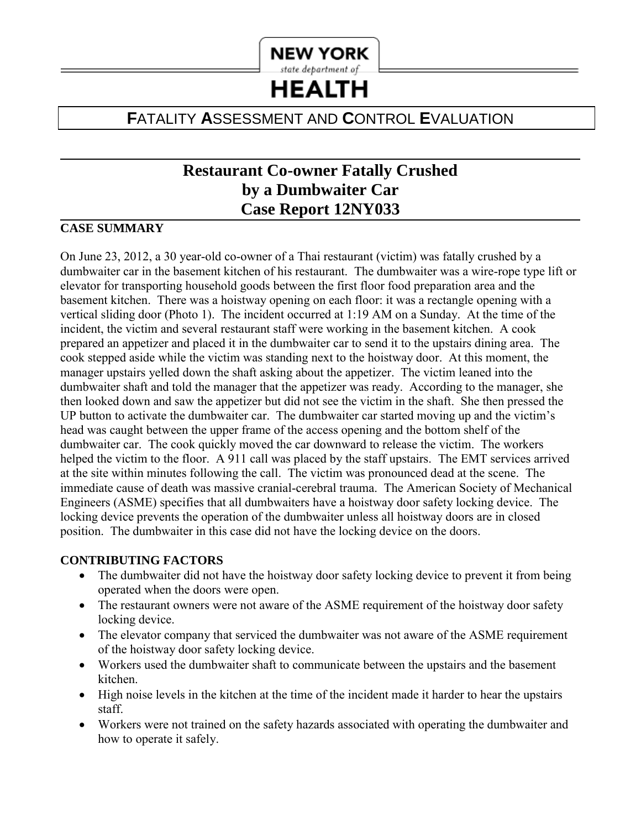

**HEALTH** 

# **F**ATALITY **A**SSESSMENT AND **C**ONTROL **E**VALUATION

# **Restaurant Co-owner Fatally Crushed by a Dumbwaiter Car Case Report 12NY033**

#### **CASE SUMMARY**

On June 23, 2012, a 30 year-old co-owner of a Thai restaurant (victim) was fatally crushed by a dumbwaiter car in the basement kitchen of his restaurant. The dumbwaiter was a wire-rope type lift or elevator for transporting household goods between the first floor food preparation area and the basement kitchen. There was a hoistway opening on each floor: it was a rectangle opening with a vertical sliding door (Photo 1). The incident occurred at 1:19 AM on a Sunday. At the time of the incident, the victim and several restaurant staff were working in the basement kitchen. A cook prepared an appetizer and placed it in the dumbwaiter car to send it to the upstairs dining area. The cook stepped aside while the victim was standing next to the hoistway door. At this moment, the manager upstairs yelled down the shaft asking about the appetizer. The victim leaned into the dumbwaiter shaft and told the manager that the appetizer was ready. According to the manager, she then looked down and saw the appetizer but did not see the victim in the shaft. She then pressed the UP button to activate the dumbwaiter car. The dumbwaiter car started moving up and the victim's head was caught between the upper frame of the access opening and the bottom shelf of the dumbwaiter car. The cook quickly moved the car downward to release the victim. The workers helped the victim to the floor. A 911 call was placed by the staff upstairs. The EMT services arrived at the site within minutes following the call. The victim was pronounced dead at the scene. The immediate cause of death was massive cranial-cerebral trauma. The American Society of Mechanical Engineers (ASME) specifies that all dumbwaiters have a hoistway door safety locking device. The locking device prevents the operation of the dumbwaiter unless all hoistway doors are in closed position. The dumbwaiter in this case did not have the locking device on the doors.

#### **CONTRIBUTING FACTORS**

- The dumbwaiter did not have the hoistway door safety locking device to prevent it from being operated when the doors were open.
- The restaurant owners were not aware of the ASME requirement of the hoistway door safety locking device.
- The elevator company that serviced the dumbwaiter was not aware of the ASME requirement of the hoistway door safety locking device.
- Workers used the dumbwaiter shaft to communicate between the upstairs and the basement kitchen.
- High noise levels in the kitchen at the time of the incident made it harder to hear the upstairs staff.
- Workers were not trained on the safety hazards associated with operating the dumbwaiter and how to operate it safely.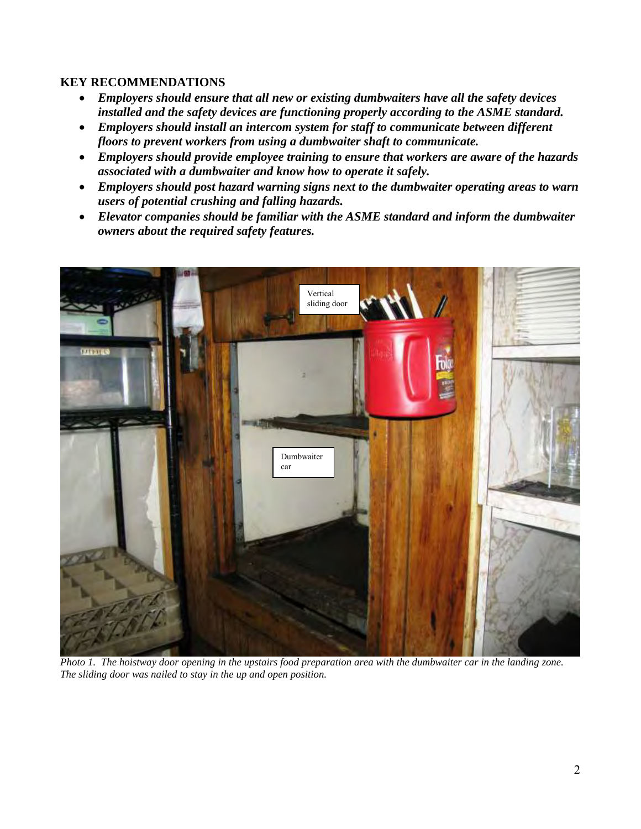#### **KEY RECOMMENDATIONS**

- *Employers should ensure that all new or existing dumbwaiters have all the safety devices installed and the safety devices are functioning properly according to the ASME standard.*
- *Employers should install an intercom system for staff to communicate between different floors to prevent workers from using a dumbwaiter shaft to communicate.*
- *Employers should provide employee training to ensure that workers are aware of the hazards associated with a dumbwaiter and know how to operate it safely.*
- *Employers should post hazard warning signs next to the dumbwaiter operating areas to warn users of potential crushing and falling hazards.*
- *Elevator companies should be familiar with the ASME standard and inform the dumbwaiter owners about the required safety features.*



*Photo 1. The hoistway door opening in the upstairs food preparation area with the dumbwaiter car in the landing zone. The sliding door was nailed to stay in the up and open position.*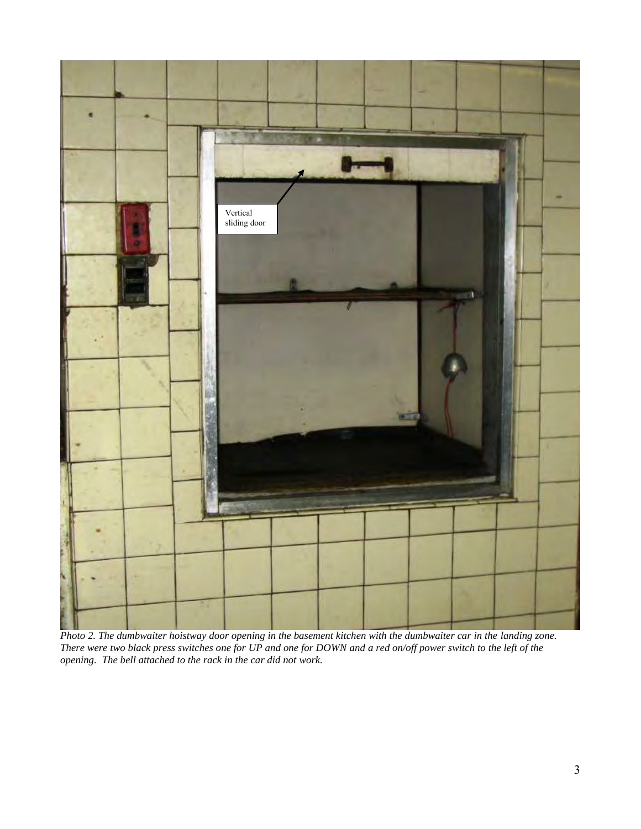

*Photo 2. The dumbwaiter hoistway door opening in the basement kitchen with the dumbwaiter car in the landing zone. There were two black press switches one for UP and one for DOWN and a red on/off power switch to the left of the opening. The bell attached to the rack in the car did not work.*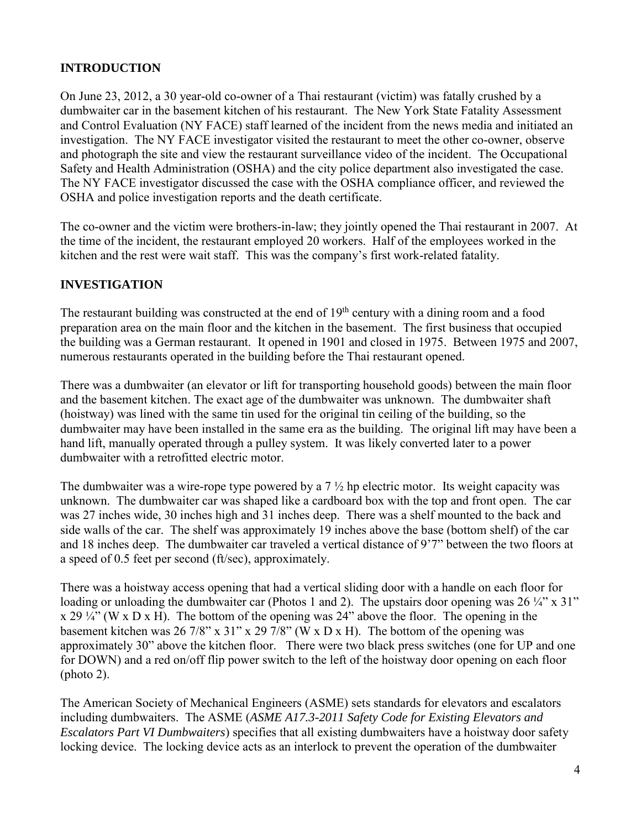## **INTRODUCTION**

On June 23, 2012, a 30 year-old co-owner of a Thai restaurant (victim) was fatally crushed by a dumbwaiter car in the basement kitchen of his restaurant. The New York State Fatality Assessment and Control Evaluation (NY FACE) staff learned of the incident from the news media and initiated an investigation. The NY FACE investigator visited the restaurant to meet the other co-owner, observe and photograph the site and view the restaurant surveillance video of the incident. The Occupational Safety and Health Administration (OSHA) and the city police department also investigated the case. The NY FACE investigator discussed the case with the OSHA compliance officer, and reviewed the OSHA and police investigation reports and the death certificate.

The co-owner and the victim were brothers-in-law; they jointly opened the Thai restaurant in 2007. At the time of the incident, the restaurant employed 20 workers. Half of the employees worked in the kitchen and the rest were wait staff. This was the company's first work-related fatality.

## **INVESTIGATION**

The restaurant building was constructed at the end of 19<sup>th</sup> century with a dining room and a food preparation area on the main floor and the kitchen in the basement. The first business that occupied the building was a German restaurant. It opened in 1901 and closed in 1975. Between 1975 and 2007, numerous restaurants operated in the building before the Thai restaurant opened.

There was a dumbwaiter (an elevator or lift for transporting household goods) between the main floor and the basement kitchen. The exact age of the dumbwaiter was unknown. The dumbwaiter shaft (hoistway) was lined with the same tin used for the original tin ceiling of the building, so the dumbwaiter may have been installed in the same era as the building. The original lift may have been a hand lift, manually operated through a pulley system. It was likely converted later to a power dumbwaiter with a retrofitted electric motor.

The dumbwaiter was a wire-rope type powered by a  $7\frac{1}{2}$  hp electric motor. Its weight capacity was unknown. The dumbwaiter car was shaped like a cardboard box with the top and front open. The car was 27 inches wide, 30 inches high and 31 inches deep. There was a shelf mounted to the back and side walls of the car. The shelf was approximately 19 inches above the base (bottom shelf) of the car and 18 inches deep. The dumbwaiter car traveled a vertical distance of 9'7" between the two floors at a speed of 0.5 feet per second (ft/sec), approximately.

There was a hoistway access opening that had a vertical sliding door with a handle on each floor for loading or unloading the dumbwaiter car (Photos 1 and 2). The upstairs door opening was  $26\frac{1}{4}$ " x 31"  $x 29\frac{1}{4}$  (W x D x H). The bottom of the opening was 24" above the floor. The opening in the basement kitchen was 26 7/8" x 31" x 29 7/8" (W x D x H). The bottom of the opening was approximately 30" above the kitchen floor. There were two black press switches (one for UP and one for DOWN) and a red on/off flip power switch to the left of the hoistway door opening on each floor (photo 2).

The American Society of Mechanical Engineers (ASME) sets standards for elevators and escalators including dumbwaiters. The ASME (*ASME A17.3-2011 Safety Code for Existing Elevators and Escalators Part VI Dumbwaiters*) specifies that all existing dumbwaiters have a hoistway door safety locking device. The locking device acts as an interlock to prevent the operation of the dumbwaiter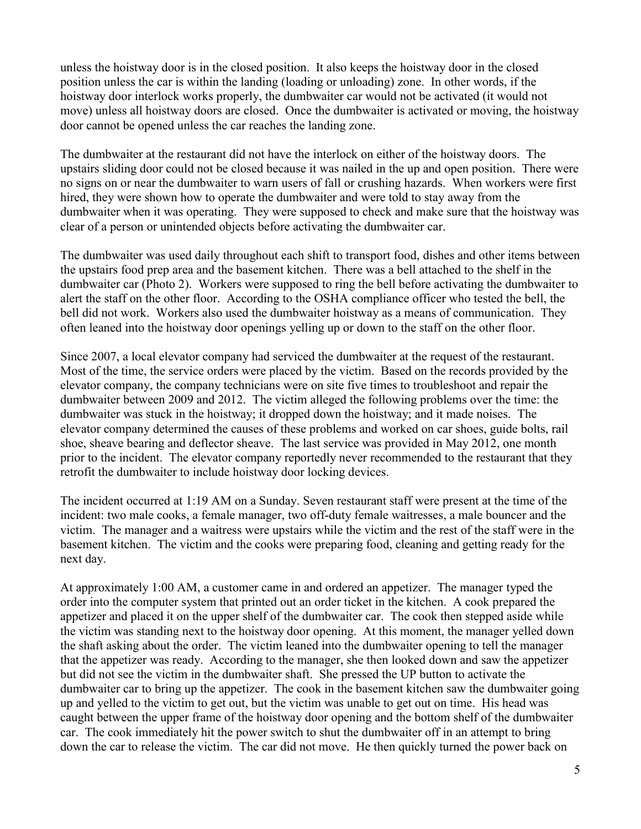unless the hoistway door is in the closed position. It also keeps the hoistway door in the closed position unless the car is within the landing (loading or unloading) zone. In other words, if the hoistway door interlock works properly, the dumbwaiter car would not be activated (it would not move) unless all hoistway doors are closed. Once the dumbwaiter is activated or moving, the hoistway door cannot be opened unless the car reaches the landing zone.

The dumbwaiter at the restaurant did not have the interlock on either of the hoistway doors. The upstairs sliding door could not be closed because it was nailed in the up and open position. There were no signs on or near the dumbwaiter to warn users of fall or crushing hazards. When workers were first hired, they were shown how to operate the dumbwaiter and were told to stay away from the dumbwaiter when it was operating. They were supposed to check and make sure that the hoistway was clear of a person or unintended objects before activating the dumbwaiter car.

The dumbwaiter was used daily throughout each shift to transport food, dishes and other items between the upstairs food prep area and the basement kitchen. There was a bell attached to the shelf in the dumbwaiter car (Photo 2). Workers were supposed to ring the bell before activating the dumbwaiter to alert the staff on the other floor. According to the OSHA compliance officer who tested the bell, the bell did not work. Workers also used the dumbwaiter hoistway as a means of communication. They often leaned into the hoistway door openings yelling up or down to the staff on the other floor.

Since 2007, a local elevator company had serviced the dumbwaiter at the request of the restaurant. Most of the time, the service orders were placed by the victim. Based on the records provided by the elevator company, the company technicians were on site five times to troubleshoot and repair the dumbwaiter between 2009 and 2012. The victim alleged the following problems over the time: the dumbwaiter was stuck in the hoistway; it dropped down the hoistway; and it made noises. The elevator company determined the causes of these problems and worked on car shoes, guide bolts, rail shoe, sheave bearing and deflector sheave. The last service was provided in May 2012, one month prior to the incident. The elevator company reportedly never recommended to the restaurant that they retrofit the dumbwaiter to include hoistway door locking devices.

The incident occurred at 1:19 AM on a Sunday. Seven restaurant staff were present at the time of the incident: two male cooks, a female manager, two off-duty female waitresses, a male bouncer and the victim. The manager and a waitress were upstairs while the victim and the rest of the staff were in the basement kitchen. The victim and the cooks were preparing food, cleaning and getting ready for the next day.

At approximately 1:00 AM, a customer came in and ordered an appetizer. The manager typed the order into the computer system that printed out an order ticket in the kitchen. A cook prepared the appetizer and placed it on the upper shelf of the dumbwaiter car. The cook then stepped aside while the victim was standing next to the hoistway door opening. At this moment, the manager yelled down the shaft asking about the order. The victim leaned into the dumbwaiter opening to tell the manager that the appetizer was ready. According to the manager, she then looked down and saw the appetizer but did not see the victim in the dumbwaiter shaft. She pressed the UP button to activate the dumbwaiter car to bring up the appetizer. The cook in the basement kitchen saw the dumbwaiter going up and yelled to the victim to get out, but the victim was unable to get out on time. His head was caught between the upper frame of the hoistway door opening and the bottom shelf of the dumbwaiter car. The cook immediately hit the power switch to shut the dumbwaiter off in an attempt to bring down the car to release the victim. The car did not move. He then quickly turned the power back on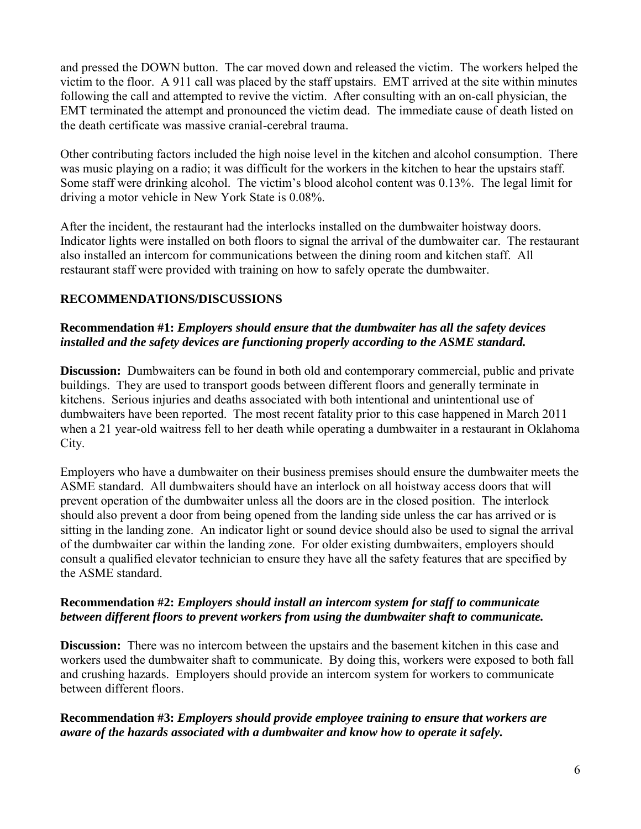and pressed the DOWN button. The car moved down and released the victim. The workers helped the victim to the floor. A 911 call was placed by the staff upstairs. EMT arrived at the site within minutes following the call and attempted to revive the victim. After consulting with an on-call physician, the EMT terminated the attempt and pronounced the victim dead. The immediate cause of death listed on the death certificate was massive cranial-cerebral trauma.

Other contributing factors included the high noise level in the kitchen and alcohol consumption. There was music playing on a radio; it was difficult for the workers in the kitchen to hear the upstairs staff. Some staff were drinking alcohol. The victim's blood alcohol content was 0.13%. The legal limit for driving a motor vehicle in New York State is 0.08%.

After the incident, the restaurant had the interlocks installed on the dumbwaiter hoistway doors. Indicator lights were installed on both floors to signal the arrival of the dumbwaiter car. The restaurant also installed an intercom for communications between the dining room and kitchen staff. All restaurant staff were provided with training on how to safely operate the dumbwaiter.

## **RECOMMENDATIONS/DISCUSSIONS**

#### **Recommendation #1:** *Employers should ensure that the dumbwaiter has all the safety devices installed and the safety devices are functioning properly according to the ASME standard.*

**Discussion:** Dumbwaiters can be found in both old and contemporary commercial, public and private buildings. They are used to transport goods between different floors and generally terminate in kitchens. Serious injuries and deaths associated with both intentional and unintentional use of dumbwaiters have been reported. The most recent fatality prior to this case happened in March 2011 when a 21 year-old waitress fell to her death while operating a dumbwaiter in a restaurant in Oklahoma City.

Employers who have a dumbwaiter on their business premises should ensure the dumbwaiter meets the ASME standard. All dumbwaiters should have an interlock on all hoistway access doors that will prevent operation of the dumbwaiter unless all the doors are in the closed position. The interlock should also prevent a door from being opened from the landing side unless the car has arrived or is sitting in the landing zone. An indicator light or sound device should also be used to signal the arrival of the dumbwaiter car within the landing zone. For older existing dumbwaiters, employers should consult a qualified elevator technician to ensure they have all the safety features that are specified by the ASME standard.

#### **Recommendation #2:** *Employers should install an intercom system for staff to communicate between different floors to prevent workers from using the dumbwaiter shaft to communicate.*

**Discussion:** There was no intercom between the upstairs and the basement kitchen in this case and workers used the dumbwaiter shaft to communicate. By doing this, workers were exposed to both fall and crushing hazards. Employers should provide an intercom system for workers to communicate between different floors.

#### **Recommendation #3:** *Employers should provide employee training to ensure that workers are aware of the hazards associated with a dumbwaiter and know how to operate it safely.*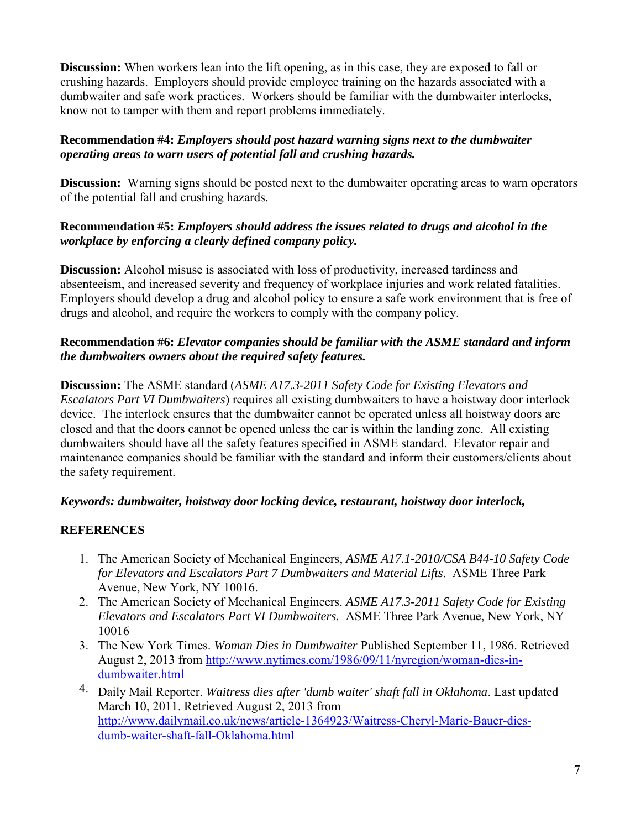**Discussion:** When workers lean into the lift opening, as in this case, they are exposed to fall or crushing hazards. Employers should provide employee training on the hazards associated with a dumbwaiter and safe work practices. Workers should be familiar with the dumbwaiter interlocks, know not to tamper with them and report problems immediately.

## **Recommendation #4:** *Employers should post hazard warning signs next to the dumbwaiter operating areas to warn users of potential fall and crushing hazards.*

**Discussion:** Warning signs should be posted next to the dumbwaiter operating areas to warn operators of the potential fall and crushing hazards.

## **Recommendation #5:** *Employers should address the issues related to drugs and alcohol in the workplace by enforcing a clearly defined company policy.*

**Discussion:** Alcohol misuse is associated with loss of productivity, increased tardiness and absenteeism, and increased severity and frequency of workplace injuries and work related fatalities. Employers should develop a drug and alcohol policy to ensure a safe work environment that is free of drugs and alcohol, and require the workers to comply with the company policy.

## **Recommendation #6:** *Elevator companies should be familiar with the ASME standard and inform the dumbwaiters owners about the required safety features.*

**Discussion:** The ASME standard (*ASME A17.3-2011 Safety Code for Existing Elevators and Escalators Part VI Dumbwaiters*) requires all existing dumbwaiters to have a hoistway door interlock device. The interlock ensures that the dumbwaiter cannot be operated unless all hoistway doors are closed and that the doors cannot be opened unless the car is within the landing zone. All existing dumbwaiters should have all the safety features specified in ASME standard. Elevator repair and maintenance companies should be familiar with the standard and inform their customers/clients about the safety requirement.

## *Keywords: dumbwaiter, hoistway door locking device, restaurant, hoistway door interlock,*

## **REFERENCES**

- 1. The American Society of Mechanical Engineers, *ASME A17.1-2010/CSA B44-10 Safety Code for Elevators and Escalators Part 7 Dumbwaiters and Material Lifts*. ASME Three Park Avenue, New York, NY 10016.
- 2. The American Society of Mechanical Engineers. *ASME A17.3-2011 Safety Code for Existing Elevators and Escalators Part VI Dumbwaiters.* ASME Three Park Avenue, New York, NY 10016
- 3. The New York Times. *Woman Dies in Dumbwaiter* Published September 11, 1986. Retrieved August 2, 2013 from [http://www.nytimes.com/1986/09/11/nyregion/woman-dies-in](http://www.nytimes.com/1986/09/11/nyregion/woman-dies-in-dumbwaiter.html)[dumbwaiter.html](http://www.nytimes.com/1986/09/11/nyregion/woman-dies-in-dumbwaiter.html)
- 4. Daily Mail Reporter. *Waitress dies after 'dumb waiter' shaft fall in Oklahoma*. Last updated March 10, 2011. Retrieved August 2, 2013 from [http://www.dailymail.co.uk/news/article-1364923/Waitress-Cheryl-Marie-Bauer-dies](http://www.dailymail.co.uk/news/article-1364923/Waitress-Cheryl-Marie-Bauer-dies-dumb-waiter-shaft-fall-Oklahoma.html)dumb-waiter-shaft-fall-Oklahoma.html